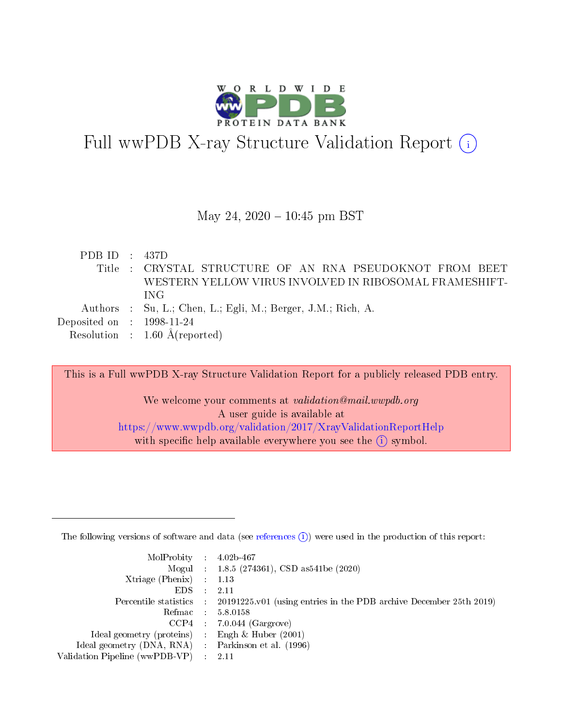

Full wwPDB X-ray Structure Validation Report  $(i)$ 

### May 24,  $2020 - 10:45$  pm BST

PDB ID : 437D Title : CRYSTAL STRUCTURE OF AN RNA PSEUDOKNOT FROM BEET WESTERN YELLOW VIRUS INVOLVED IN RIBOSOMAL FRAMESHIFT-ING Authors : Su, L.; Chen, L.; Egli, M.; Berger, J.M.; Rich, A. Deposited on : 1998-11-24 Resolution : 1.60 Å(reported)

This is a Full wwPDB X-ray Structure Validation Report for a publicly released PDB entry. We welcome your comments at validation@mail.wwpdb.org A user guide is available at <https://www.wwpdb.org/validation/2017/XrayValidationReportHelp>

with specific help available everywhere you see the  $(i)$  symbol.

The following versions of software and data (see [references](https://www.wwpdb.org/validation/2017/XrayValidationReportHelp#references)  $(1)$ ) were used in the production of this report:

| $MolProbability$ : 4.02b-467                       |               |                                                                                            |
|----------------------------------------------------|---------------|--------------------------------------------------------------------------------------------|
|                                                    |               | Mogul : $1.8.5$ (274361), CSD as 541be (2020)                                              |
| Xtriage (Phenix) $: 1.13$                          |               |                                                                                            |
| EDS.                                               | $\mathcal{L}$ | -2.11                                                                                      |
|                                                    |               | Percentile statistics : 20191225.v01 (using entries in the PDB archive December 25th 2019) |
|                                                    |               | Refmac : 5.8.0158                                                                          |
|                                                    |               | $CCP4$ 7.0.044 (Gargrove)                                                                  |
| Ideal geometry (proteins) : Engh $\&$ Huber (2001) |               |                                                                                            |
| Ideal geometry (DNA, RNA) Parkinson et al. (1996)  |               |                                                                                            |
| Validation Pipeline (wwPDB-VP) : 2.11              |               |                                                                                            |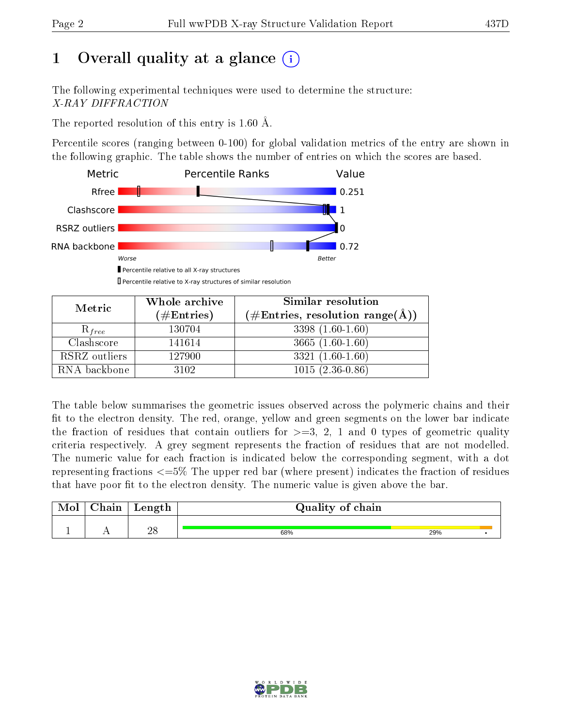# 1 [O](https://www.wwpdb.org/validation/2017/XrayValidationReportHelp#overall_quality)verall quality at a glance  $(i)$

The following experimental techniques were used to determine the structure: X-RAY DIFFRACTION

The reported resolution of this entry is 1.60 Å.

Percentile scores (ranging between 0-100) for global validation metrics of the entry are shown in the following graphic. The table shows the number of entries on which the scores are based.



Percentile relative to X-ray structures of similar resolution

| Metric        | Whole archive | Similar resolution                                                |
|---------------|---------------|-------------------------------------------------------------------|
|               | $(\#Entries)$ | $(\# \text{Entries}, \text{ resolution } \text{range}(\text{A}))$ |
| $R_{free}$    | 130704        | $3398(1.60-1.60)$                                                 |
| Clashscore    | 141614        | $3665(1.60-1.60)$                                                 |
| RSRZ outliers | 127900        | $3321(1.60-1.60)$                                                 |
| RNA backbone  | 3102          | $\overline{1015}$ $(2.36-0.86)$                                   |

The table below summarises the geometric issues observed across the polymeric chains and their fit to the electron density. The red, orange, yellow and green segments on the lower bar indicate the fraction of residues that contain outliers for  $\geq=3$ , 2, 1 and 0 types of geometric quality criteria respectively. A grey segment represents the fraction of residues that are not modelled. The numeric value for each fraction is indicated below the corresponding segment, with a dot representing fractions  $\epsilon = 5\%$  The upper red bar (where present) indicates the fraction of residues that have poor fit to the electron density. The numeric value is given above the bar.

| $\gamma_{\text{min}}$ | Length | Quality of chain |     |  |  |  |  |  |
|-----------------------|--------|------------------|-----|--|--|--|--|--|
|                       | ഹ      |                  |     |  |  |  |  |  |
|                       | 40     | 68%              | 29% |  |  |  |  |  |

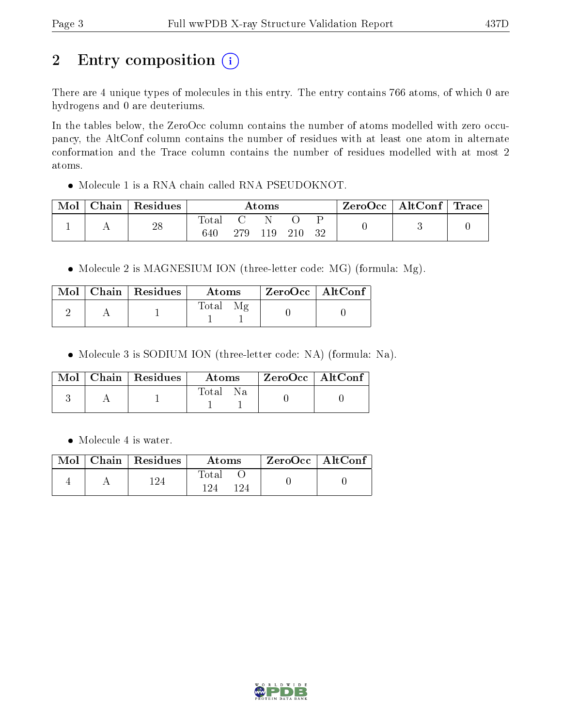# 2 Entry composition (i)

There are 4 unique types of molecules in this entry. The entry contains 766 atoms, of which 0 are hydrogens and 0 are deuteriums.

In the tables below, the ZeroOcc column contains the number of atoms modelled with zero occupancy, the AltConf column contains the number of residues with at least one atom in alternate conformation and the Trace column contains the number of residues modelled with at most 2 atoms.

Molecule 1 is a RNA chain called RNA PSEUDOKNOT.

| Mol | Chain | Residues | $\bm{\mathrm{Atoms}}$ |     |     |     | . ZeroOcc | $\mid$ AltConf $\mid$ Trace |  |  |
|-----|-------|----------|-----------------------|-----|-----|-----|-----------|-----------------------------|--|--|
|     |       | 28       | $\rm Total$           |     |     |     |           |                             |  |  |
|     |       |          | 640                   | 279 | 119 | 210 | 32        |                             |  |  |

• Molecule 2 is MAGNESIUM ION (three-letter code: MG) (formula: Mg).

|  | $\text{Mol}$   Chain   Residues | Atoms | ZeroOcc   AltConf |  |
|--|---------------------------------|-------|-------------------|--|
|  |                                 | Total |                   |  |

Molecule 3 is SODIUM ION (three-letter code: NA) (formula: Na).

|  | $\text{Mol}$   Chain   Residues | Atoms | $^{\shortmid}$ ZeroOcc $\mid$ AltConf $^{\shortmid}$ |  |
|--|---------------------------------|-------|------------------------------------------------------|--|
|  |                                 | Total |                                                      |  |

• Molecule 4 is water.

|  | $\text{Mol}$   Chain   Residues | Atoms                      | ZeroOcc   AltConf |  |
|--|---------------------------------|----------------------------|-------------------|--|
|  | 19 <sub>4</sub>                 | <b>Total</b><br>194<br>194 |                   |  |

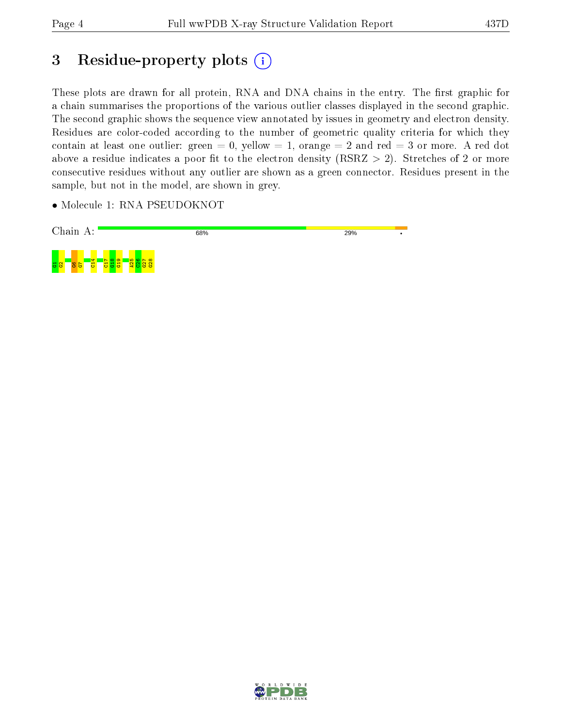# 3 Residue-property plots (i)

These plots are drawn for all protein, RNA and DNA chains in the entry. The first graphic for a chain summarises the proportions of the various outlier classes displayed in the second graphic. The second graphic shows the sequence view annotated by issues in geometry and electron density. Residues are color-coded according to the number of geometric quality criteria for which they contain at least one outlier: green  $= 0$ , yellow  $= 1$ , orange  $= 2$  and red  $= 3$  or more. A red dot above a residue indicates a poor fit to the electron density (RSRZ  $> 2$ ). Stretches of 2 or more consecutive residues without any outlier are shown as a green connector. Residues present in the sample, but not in the model, are shown in grey.

• Molecule 1: RNA PSEUDOKNOT



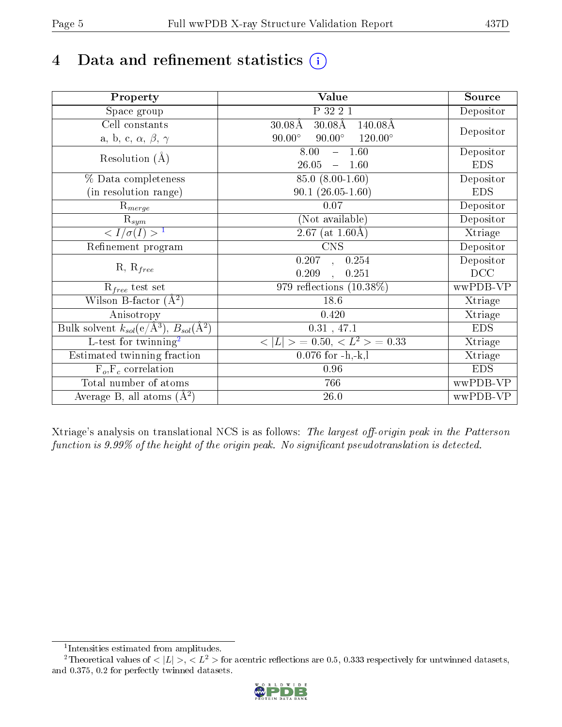# 4 Data and refinement statistics  $(i)$

| Property                                                   | Value                                                        | Source     |
|------------------------------------------------------------|--------------------------------------------------------------|------------|
| Space group                                                | P 32 2 1                                                     | Depositor  |
| Cell constants                                             | $30.08\text{\AA}$<br>$30.08\text{\AA}$<br>$140.08\text{\AA}$ |            |
| a, b, c, $\alpha$ , $\beta$ , $\gamma$                     | $90.00^\circ$<br>$120.00^\circ$<br>$90.00^\circ$             | Depositor  |
| Resolution $(A)$                                           | 8.00<br>$-1.60$                                              | Depositor  |
|                                                            | 26.05<br>$-1.60$                                             | <b>EDS</b> |
| % Data completeness                                        | 85.0 (8.00-1.60)                                             | Depositor  |
| (in resolution range)                                      | $90.1(26.05-1.60)$                                           | <b>EDS</b> |
| $\mathrm{R}_{merge}$                                       | 0.07                                                         | Depositor  |
| $\mathrm{R}_{sym}$                                         | (Not available)                                              | Depositor  |
| $\sqrt{I/\sigma(I)} > 1$                                   | 2.67 (at $1.60\text{\AA})$                                   | Xtriage    |
| Refinement program                                         | $\overline{\text{CNS}}$                                      | Depositor  |
|                                                            | 0.207<br>0.254<br>$\bar{a}$ ,                                | Depositor  |
| $R, R_{free}$                                              | 0.209<br>0.251<br>$\ddot{\phantom{a}}$                       | DCC        |
| $R_{free}$ test set                                        | 979 reflections $(10.38\%)$                                  | wwPDB-VP   |
| Wilson B-factor $(A^2)$                                    | 18.6                                                         | Xtriage    |
| Anisotropy                                                 | 0.420                                                        | Xtriage    |
| Bulk solvent $k_{sol}$ (e/Å <sup>3</sup> ), $B_{sol}(A^2)$ | $0.31$ , 47.1                                                | <b>EDS</b> |
| $\overline{L-test for}$ twinning <sup>2</sup>              | $< L >$ = 0.50, $< L2$ > = 0.33                              | Xtriage    |
| Estimated twinning fraction                                | $0.076$ for $-h,-k,l$                                        | Xtriage    |
| $F_o, F_c$ correlation                                     | 0.96                                                         | <b>EDS</b> |
| Total number of atoms                                      | 766                                                          | wwPDB-VP   |
| Average B, all atoms $(A^2)$                               | $26.0\,$                                                     | wwPDB-VP   |

Xtriage's analysis on translational NCS is as follows: The largest off-origin peak in the Patterson function is  $9.99\%$  of the height of the origin peak. No significant pseudotranslation is detected.

<sup>&</sup>lt;sup>2</sup>Theoretical values of  $\langle |L| \rangle$ ,  $\langle L^2 \rangle$  for acentric reflections are 0.5, 0.333 respectively for untwinned datasets, and 0.375, 0.2 for perfectly twinned datasets.



<span id="page-4-1"></span><span id="page-4-0"></span><sup>1</sup> Intensities estimated from amplitudes.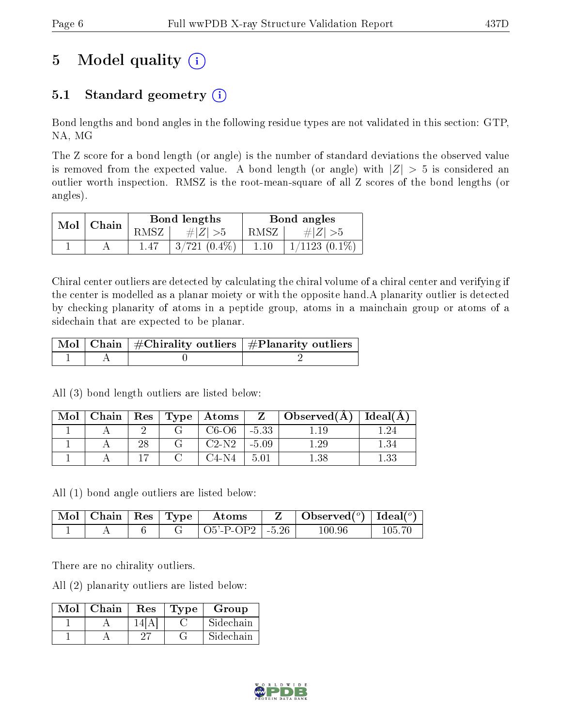# 5 Model quality  $(i)$

# 5.1 Standard geometry  $(i)$

Bond lengths and bond angles in the following residue types are not validated in this section: GTP, NA, MG

The Z score for a bond length (or angle) is the number of standard deviations the observed value is removed from the expected value. A bond length (or angle) with  $|Z| > 5$  is considered an outlier worth inspection. RMSZ is the root-mean-square of all Z scores of the bond lengths (or angles).

| Mol | Chain |            | Bond lengths              | Bond angles |                    |  |
|-----|-------|------------|---------------------------|-------------|--------------------|--|
|     |       | $\rm RMSZ$ | $\# Z  > 5$               | RMSZ        | # $ Z  > 5$        |  |
|     |       |            | $\frac{1}{3}$ /721 (0.4%) | 1.10        | $1/1123$ $(0.1\%)$ |  |

Chiral center outliers are detected by calculating the chiral volume of a chiral center and verifying if the center is modelled as a planar moiety or with the opposite hand.A planarity outlier is detected by checking planarity of atoms in a peptide group, atoms in a mainchain group or atoms of a sidechain that are expected to be planar.

|  | $\mid$ Mol $\mid$ Chain $\mid$ #Chirality outliers $\mid$ #Planarity outliers $\mid$ |
|--|--------------------------------------------------------------------------------------|
|  |                                                                                      |

All (3) bond length outliers are listed below:

| Mol | Chain | $\operatorname{Res}$ | $\mid$ Type $\mid$ Atoms |         | $\Box$ Observed(A) | Ideal(A |
|-----|-------|----------------------|--------------------------|---------|--------------------|---------|
|     |       |                      | C6-O6-                   | $-5.33$ |                    |         |
|     |       | າເ                   | $C2-N2$                  | $-5.09$ |                    |         |
|     |       |                      | C4-N4                    | 5.01    |                    |         |

All (1) bond angle outliers are listed below:

| $^{\shortmid}$ Mol $\shortmid$ | $\vert$ Chain $\vert$ Res $\vert$ Type $\vert$ |  | Atoms                | Observed( $^{\circ}$ )   Ideal( $^{\circ}$ ) |  |
|--------------------------------|------------------------------------------------|--|----------------------|----------------------------------------------|--|
|                                |                                                |  | $O5'$ -P-OP2   -5.26 | LOO 96                                       |  |

There are no chirality outliers.

All (2) planarity outliers are listed below:

| Mol | Chain | Res  | Type | Group     |
|-----|-------|------|------|-----------|
|     |       | l 41 |      | Sidechain |
|     |       |      |      | Sidechain |

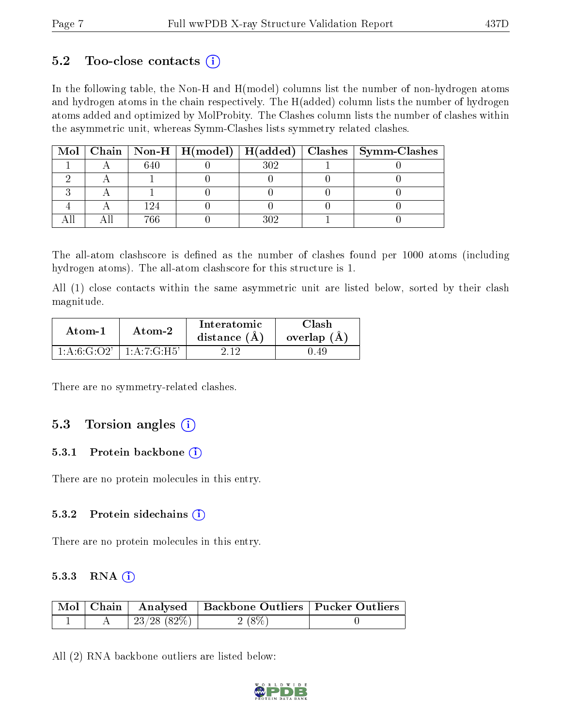### $5.2$  Too-close contacts  $(i)$

In the following table, the Non-H and H(model) columns list the number of non-hydrogen atoms and hydrogen atoms in the chain respectively. The H(added) column lists the number of hydrogen atoms added and optimized by MolProbity. The Clashes column lists the number of clashes within the asymmetric unit, whereas Symm-Clashes lists symmetry related clashes.

|  |  |  | Mol   Chain   Non-H   H(model)   H(added)   Clashes   Symm-Clashes |
|--|--|--|--------------------------------------------------------------------|
|  |  |  |                                                                    |
|  |  |  |                                                                    |
|  |  |  |                                                                    |
|  |  |  |                                                                    |
|  |  |  |                                                                    |

The all-atom clashscore is defined as the number of clashes found per 1000 atoms (including hydrogen atoms). The all-atom clashscore for this structure is 1.

All (1) close contacts within the same asymmetric unit are listed below, sorted by their clash magnitude.

| Atom-1        | Atom-2         | Interatomic<br>distance $(A)$ | Clash<br>overlap $(A)$ |
|---------------|----------------|-------------------------------|------------------------|
| 1: A:6: G:O2' | 1: A: 7: G:H5' |                               |                        |

There are no symmetry-related clashes.

### 5.3 Torsion angles  $(i)$

#### 5.3.1 Protein backbone  $(i)$

There are no protein molecules in this entry.

#### 5.3.2 Protein sidechains (i)

There are no protein molecules in this entry.

#### 5.3.3 RNA (1)

|  |                | Mol   Chain   Analysed   Backbone Outliers   Pucker Outliers |  |
|--|----------------|--------------------------------------------------------------|--|
|  | $23/28$ (82\%) | $2(8\%)$                                                     |  |

All (2) RNA backbone outliers are listed below:

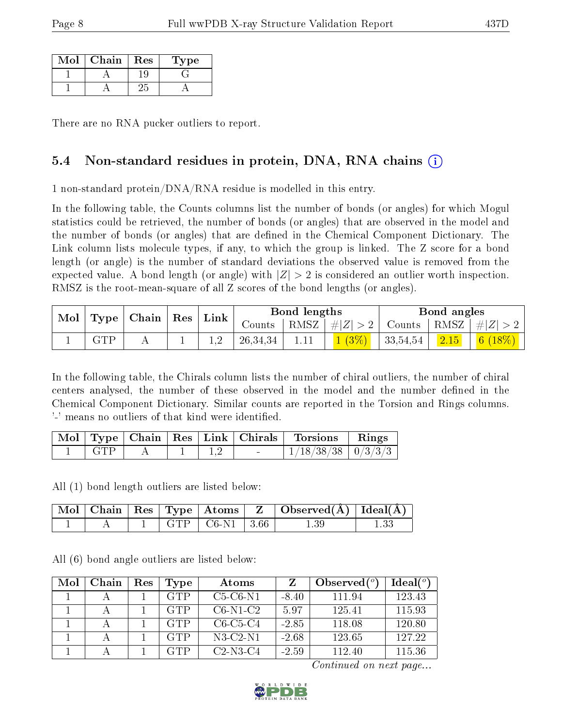| Mol | Chain | Res | L'ype |
|-----|-------|-----|-------|
|     |       |     |       |
|     |       |     |       |

There are no RNA pucker outliers to report.

# 5.4 Non-standard residues in protein, DNA, RNA chains (i)

1 non-standard protein/DNA/RNA residue is modelled in this entry.

In the following table, the Counts columns list the number of bonds (or angles) for which Mogul statistics could be retrieved, the number of bonds (or angles) that are observed in the model and the number of bonds (or angles) that are defined in the Chemical Component Dictionary. The Link column lists molecule types, if any, to which the group is linked. The Z score for a bond length (or angle) is the number of standard deviations the observed value is removed from the expected value. A bond length (or angle) with  $|Z| > 2$  is considered an outlier worth inspection. RMSZ is the root-mean-square of all Z scores of the bond lengths (or angles).

| Mol |             |                             |  | $\mathop{\rm Link}\nolimits$ |            | Bond lengths          |                                                    | Bond angles |                |                |
|-----|-------------|-----------------------------|--|------------------------------|------------|-----------------------|----------------------------------------------------|-------------|----------------|----------------|
|     |             | $\Gamma$ Type   Chain   Res |  | Counts                       |            | $ RMSZ  \#  Z  > 2  $ | $\perp$ Counts $\parallel$ RMSZ $\parallel \#  Z $ |             |                |                |
|     | ${\rm GTP}$ |                             |  |                              | 26, 34, 34 |                       |                                                    | 33,54,54    | $\boxed{2.15}$ | 6 <sup>1</sup> |

In the following table, the Chirals column lists the number of chiral outliers, the number of chiral centers analysed, the number of these observed in the model and the number defined in the Chemical Component Dictionary. Similar counts are reported in the Torsion and Rings columns. '-' means no outliers of that kind were identified.

| Mol |      |  | $\top$ Type   Chain   Res   Link   Chirals | <b>Torsions</b>          | Rings |
|-----|------|--|--------------------------------------------|--------------------------|-------|
|     | CT F |  | $\sim$                                     | $1/18/38/38$   $0/3/3/3$ |       |

All (1) bond length outliers are listed below:

|  |     |                                              | $\vert$ Mol $\vert$ Chain $\vert$ Res $\vert$ Type $\vert$ Atoms $\vert$ Z $\vert$ Observed(A) $\vert$ Ideal(A) |  |
|--|-----|----------------------------------------------|-----------------------------------------------------------------------------------------------------------------|--|
|  | GTP | $\left  \right $ C6-N1 $\left  \right $ 3.66 |                                                                                                                 |  |

All (6) bond angle outliers are listed below:

| Mol | Chain | $\operatorname{Res}% \left( \mathcal{N}\right) \equiv\operatorname{Res}(\mathcal{N}_{0})\cap\mathcal{N}_{1}$ | Type       | Atoms          |         | Observed $(^\circ)$ | $Ideal(^o)$ |
|-----|-------|--------------------------------------------------------------------------------------------------------------|------------|----------------|---------|---------------------|-------------|
|     |       |                                                                                                              | <b>GTP</b> | $C5-C6-N1$     | $-8.40$ | 111.94              | 123.43      |
|     |       |                                                                                                              | <b>GTP</b> | $C6-N1-C2$     | 5.97    | 125.41              | 115.93      |
|     |       |                                                                                                              | <b>GTP</b> | $C6-C5-C4$     | $-2.85$ | 118.08              | 120.80      |
|     |       |                                                                                                              | <b>GTP</b> | $N3$ -C2- $N1$ | $-2.68$ | 123.65              | 127.22      |
|     |       |                                                                                                              | GTP        | $C2-N3-C4$     | $-2.59$ | 112.40              | 115.36      |

Continued on next page...

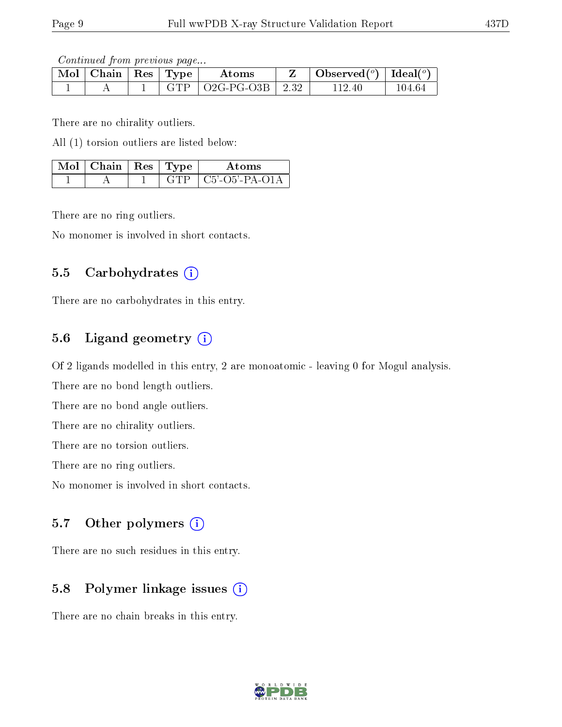Continued from previous page...

| Mol | Chain | $\vert$ Res $\vert$ Type | $\rm{Atoms}$                    | Observed <sup>(<math>\circ</math>)</sup> [deal( $\circ$ ) |        |
|-----|-------|--------------------------|---------------------------------|-----------------------------------------------------------|--------|
|     |       | <b>GTP</b>               | $\vert$ O2G-PG-O3B $\vert$ 2.32 | LEZ 41                                                    | 104.64 |

There are no chirality outliers.

All (1) torsion outliers are listed below:

| $\sqrt{\text{Mol}}$   Chain   Res   Type <sup>+</sup> |  | Atoms                |
|-------------------------------------------------------|--|----------------------|
|                                                       |  | $\pm$ C5'-O5'-PA-O1A |

There are no ring outliers.

No monomer is involved in short contacts.

### 5.5 Carbohydrates  $(i)$

There are no carbohydrates in this entry.

## 5.6 Ligand geometry (i)

Of 2 ligands modelled in this entry, 2 are monoatomic - leaving 0 for Mogul analysis.

There are no bond length outliers.

There are no bond angle outliers.

There are no chirality outliers.

There are no torsion outliers.

There are no ring outliers.

No monomer is involved in short contacts.

### 5.7 [O](https://www.wwpdb.org/validation/2017/XrayValidationReportHelp#nonstandard_residues_and_ligands)ther polymers  $(i)$

There are no such residues in this entry.

### 5.8 Polymer linkage issues (i)

There are no chain breaks in this entry.

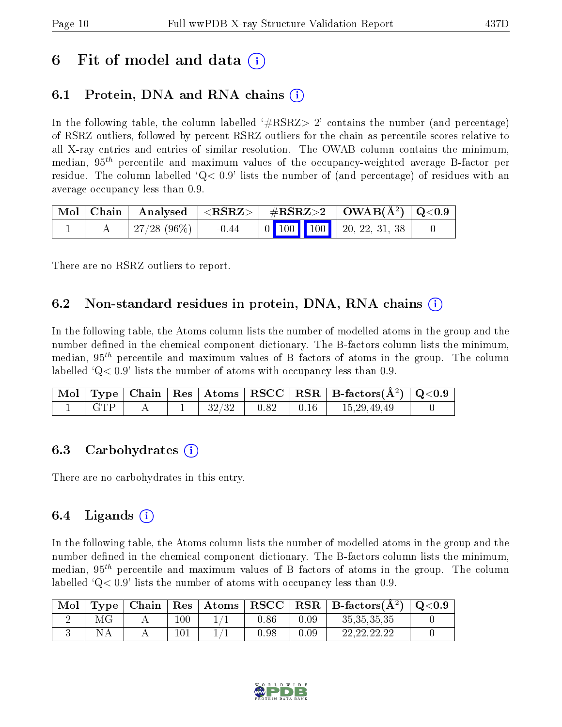# 6 Fit of model and data  $\left( \cdot \right)$

# 6.1 Protein, DNA and RNA chains (i)

In the following table, the column labelled  $#RSRZ> 2'$  contains the number (and percentage) of RSRZ outliers, followed by percent RSRZ outliers for the chain as percentile scores relative to all X-ray entries and entries of similar resolution. The OWAB column contains the minimum, median,  $95<sup>th</sup>$  percentile and maximum values of the occupancy-weighted average B-factor per residue. The column labelled  $Q < 0.9$  lists the number of (and percentage) of residues with an average occupancy less than 0.9.

|  |                                 |  | $\mid$ Mol $\mid$ Chain $\mid$ Analysed $\mid$ <rsrz> <math>\mid</math> #RSRZ&gt;2 <math>\mid</math> OWAB(Å<sup>2</sup>) <math>\mid</math> Q&lt;0.9 <math>\mid</math></rsrz> |  |                                                                                                 |  |
|--|---------------------------------|--|------------------------------------------------------------------------------------------------------------------------------------------------------------------------------|--|-------------------------------------------------------------------------------------------------|--|
|  | $\mid$ 27/28 (96%) $\mid$ -0.44 |  |                                                                                                                                                                              |  | $\begin{array}{ c c c c c c c c c } \hline 0 & 100 & 100 & 20, 22, 31, 38 \\\hline \end{array}$ |  |

There are no RSRZ outliers to report.

## 6.2 Non-standard residues in protein, DNA, RNA chains  $(i)$

In the following table, the Atoms column lists the number of modelled atoms in the group and the number defined in the chemical component dictionary. The B-factors column lists the minimum, median,  $95<sup>th</sup>$  percentile and maximum values of B factors of atoms in the group. The column labelled  $Q< 0.9$  lists the number of atoms with occupancy less than 0.9.

|       |  |       |                                                                      | Mol   Type   Chain   Res   Atoms   RSCC   RSR   B-factors(A <sup>2</sup> )   Q<0.9 |  |
|-------|--|-------|----------------------------------------------------------------------|------------------------------------------------------------------------------------|--|
| l GTP |  | 32/32 | $\begin{array}{ c c c c c } \hline 0.82 & 0.16 \ \hline \end{array}$ | 15,29,49,49                                                                        |  |

### 6.3 Carbohydrates (i)

There are no carbohydrates in this entry.

## $6.4$  Ligands  $(i)$

In the following table, the Atoms column lists the number of modelled atoms in the group and the number defined in the chemical component dictionary. The B-factors column lists the minimum, median,  $95<sup>th</sup>$  percentile and maximum values of B factors of atoms in the group. The column labelled  $Q< 0.9$  lists the number of atoms with occupancy less than 0.9.

| Mol | 'vne | Chain | Res     | Atoms | $_{\rm RSCC}$ | RSR  | $\mid$ B-factors( $A^2$ ) | Q <sub>0.9</sub> |
|-----|------|-------|---------|-------|---------------|------|---------------------------|------------------|
|     |      |       | $100\,$ |       | ${0.86}$      | 0.09 | 35, 35, 35, 35            |                  |
|     |      |       | 101     |       | 9.8           | 0.09 | ാവാവാവാ                   |                  |